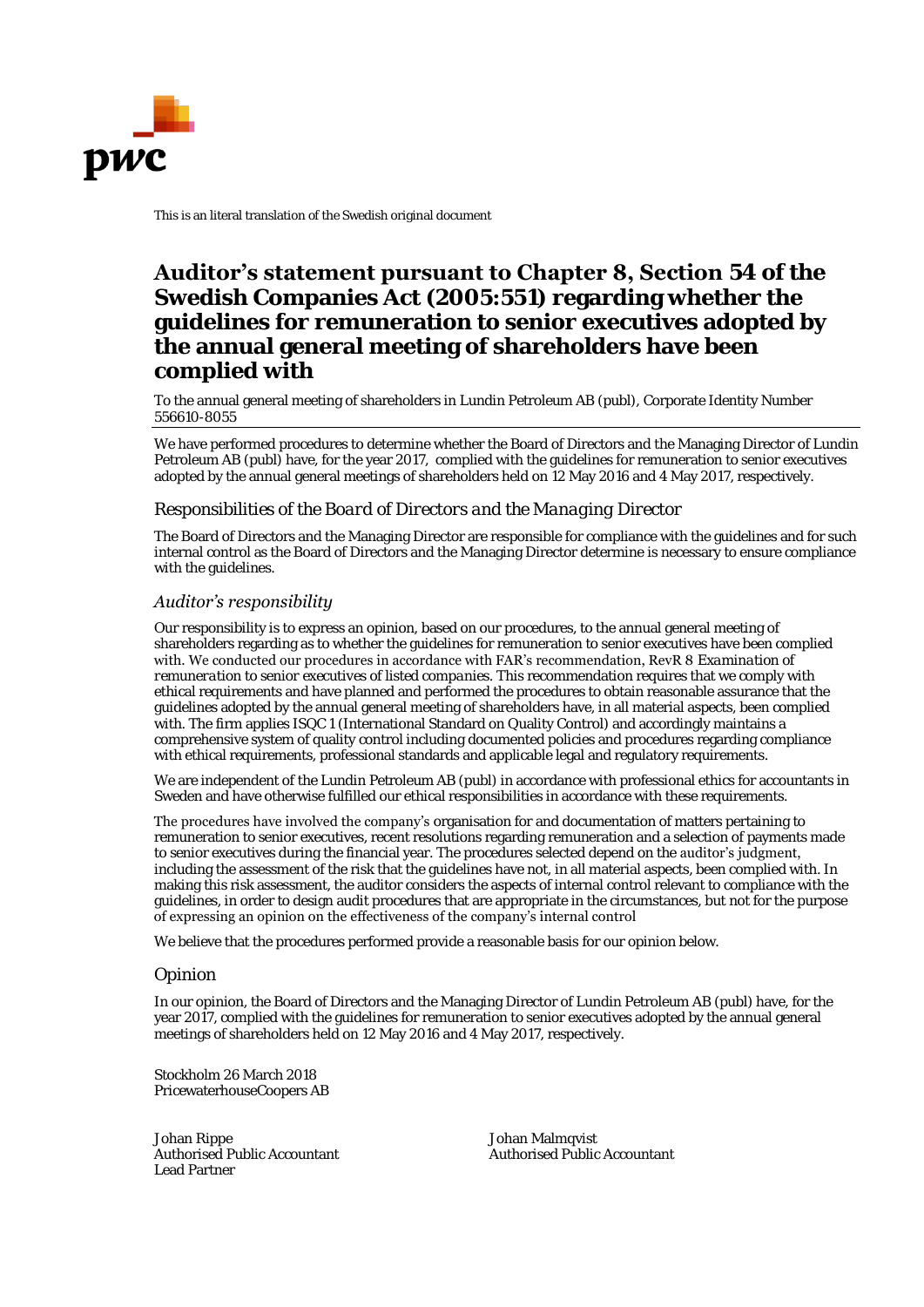

This is an literal translation of the Swedish original document

# **Auditor's statement pursuant to Chapter 8, Section 54 of the**

**Swedish Companies Act (2005:551) regarding whether the guidelines for remuneration to senior executives adopted by the annual general meeting of shareholders have been complied with** 

To the annual general meeting of shareholders in Lundin Petroleum AB (publ), Corporate Identity Number 556610-8055

We have performed procedures to determine whether the Board of Directors and the Managing Director of Lundin Petroleum AB (publ) have, for the year 2017, complied with the guidelines for remuneration to senior executives adopted by the annual general meetings of shareholders held on 12 May 2016 and 4 May 2017, respectively.

## *Responsibilities of the Board of Directors and the Managing Director*

The Board of Directors and the Managing Director are responsible for compliance with the guidelines and for such internal control as the Board of Directors and the Managing Director determine is necessary to ensure compliance with the guidelines.

## *Auditor's responsibility*

Our responsibility is to express an opinion, based on our procedures, to the annual general meeting of shareholders regarding as to whether the guidelines for remuneration to senior executives have been complied with. We conducted our procedures in accordance with FAR's recommendation, RevR 8 *Examination of remuneration to senior executives of listed companies*. This recommendation requires that we comply with ethical requirements and have planned and performed the procedures to obtain reasonable assurance that the guidelines adopted by the annual general meeting of shareholders have, in all material aspects, been complied with. The firm applies ISQC 1 (International Standard on Quality Control) and accordingly maintains a comprehensive system of quality control including documented policies and procedures regarding compliance with ethical requirements, professional standards and applicable legal and regulatory requirements.

We are independent of the Lundin Petroleum AB (publ) in accordance with professional ethics for accountants in Sweden and have otherwise fulfilled our ethical responsibilities in accordance with these requirements.

The procedures have involved the company's organisation for and documentation of matters pertaining to remuneration to senior executives, recent resolutions regarding remuneration and a selection of payments made to senior executives during the financial year. The procedures selected depend on the **auditor's judgment**, including the assessment of the risk that the guidelines have not, in all material aspects, been complied with. In making this risk assessment, the auditor considers the aspects of internal control relevant to compliance with the guidelines, in order to design audit procedures that are appropriate in the circumstances, but not for the purpose of expressing an opinion on the effectiveness of the company's internal control

We believe that the procedures performed provide a reasonable basis for our opinion below.

### *Opinion*

In our opinion, the Board of Directors and the Managing Director of Lundin Petroleum AB (publ) have, for the year 2017, complied with the guidelines for remuneration to senior executives adopted by the annual general meetings of shareholders held on 12 May 2016 and 4 May 2017, respectively.

Stockholm 26 March 2018 PricewaterhouseCoopers AB

Johan Rippe Johan Malmqvist Authorised Public Accountant Authorised Public Accountant Lead Partner